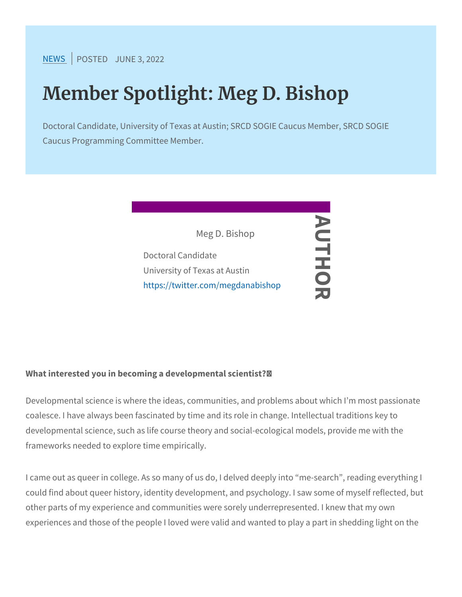[NEW](https://www.srcd.org/news)SPOSTEJOUNE 3, 2022

## Member Spotlight: Meg D. Bishop

Doctoral Candidate, University of Texas at Austin; SRCD SOGIE Caucus Programming Committee Member.



What interested you in becoming a developmental scientist? /

Developmental science is where the ideas, communities, and proble coalesce. I have always been fascinated by time and its role in cha developmental science, such as life course theory and social-ecolo frameworks needed to explore time empirically.

I came out as queer in college. As so many of us do, I delved deep could find about queer history, identity development, and psycholog other parts of my experience and communities were sorely underrep experiences and those of the people I loved were valid and wanted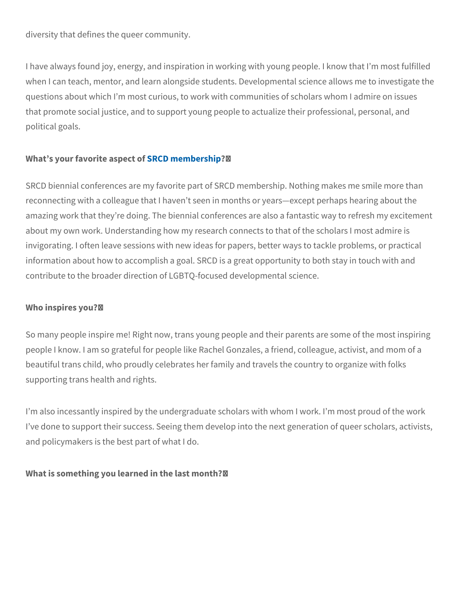diversity that defines the queer community.

I have always found joy, energy, and inspiration in working with yo when I can teach, mentor, and learn alongside students. Developme questions about which I m most curious, to work with communities o that promote social justice, and to support young people to actuali; political goals.

What s your favorit $\mathcal B$ RaCsIQ en tempt  $\mathcal B$ /rship

SRCD biennial conferences are my favorite part of SRCD membersh reconnecting with a colleague that I haven t seen in months or year amazing work that they re doing. The biennial conferences are also about my own work. Understanding how my research connects to that invigorating. I often leave sessions with new ideas for papers, bett information about how to accomplish a goal. SRCD is a great oppor contribute to the broader direction of LGBTQ-focused developmenta

Who inspires you?/

So many people inspire me! Right now, trans young people and their people I know. I am so grateful for people like Rachel Gonzales, a beautiful trans child, who proudly celebrates her family and travels supporting trans health and rights.

I m also incessantly inspired by the undergraduate scholars with wl I ve done to support their success. Seeing them develop into the ne and policymakers is the best part of what I do.

What is something you learned in the last month? /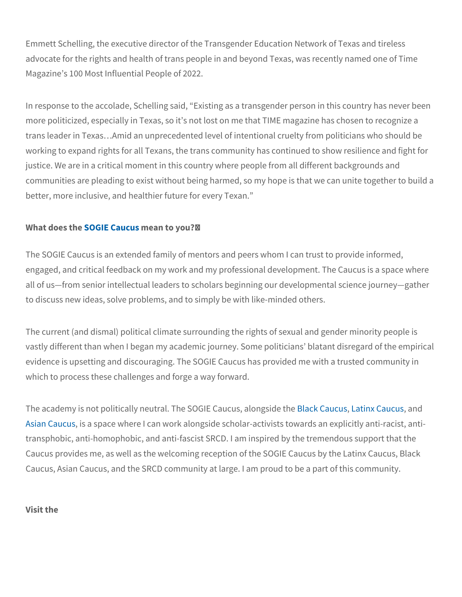Emmett Schelling, the executive director of the Transgender Education advocate for the rights and health of trans people in and beyond Te Magazine s 100 Most Influential People of 2022.

In response to the accolade, Schelling said, Existing as a transger more politicized, especially in Texas, so it s not lost on me that TI trans leader in Texas & Amid an unprecedented level of intentional c working to expand rights for all Texans, the trans community has continued to show resilience and fight for an justice. We are in a critical moment in this country where people fr communities are pleading to exist without being harmed, so my hop better, more inclusive, and healthier future for every Texan.

## What doe  $\text{S}$  O  $\text{G}$  defect C and easo to you?/

The SOGIE Caucus is an extended family of mentors and peers who engaged, and critical feedback on my work and my professional dev all of us from senior intellectual leaders to scholars beginning our to discuss new ideas, solve problems, and to simply be with like-mi

The current (and dismal) political climate surrounding the rights of vastly different than when I began my academic journey. Some polit evidence is upsetting and discouraging. The SOGIE Caucus has pro which to process these challenges and forge a way forward.

The academy is not politically neutral. TheBl**andC[aucus](https://latinxcaucus.srcd.org/) Caucus Caucus** and particle the [Black C](https://blackcaucus.srcd.org/)aucus of and put [Asian C](https://asiancaucus.srcd.org/)ausuas space where I can work alongside scholar-activists to transphobic, anti-homophobic, and anti-fascist SRCD. I am inspired Caucus provides me, as well as the welcoming reception of the SOG Caucus, Asian Caucus, and the SRCD community at large. I am prou

Visit the